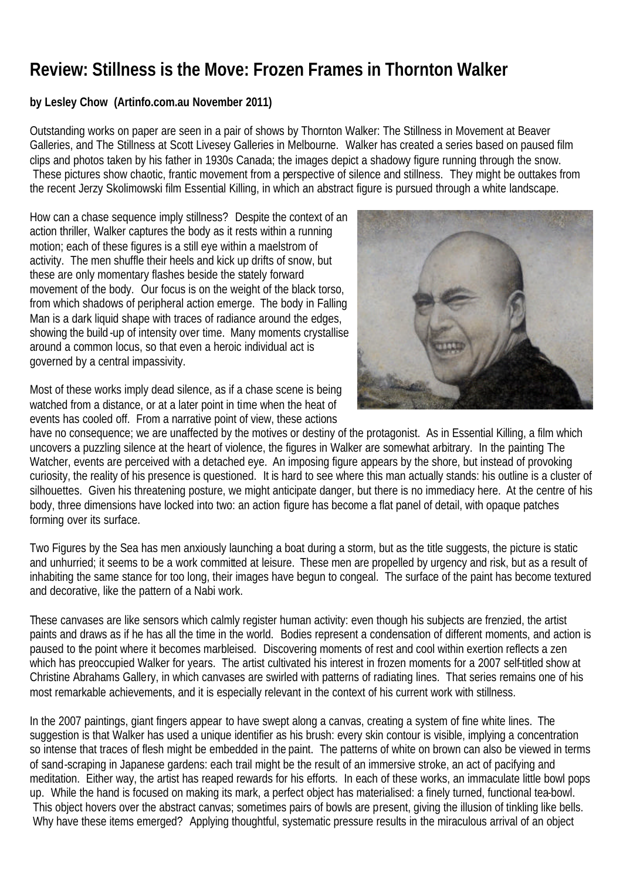## **Review: Stillness is the Move: Frozen Frames in Thornton Walker**

## **by Lesley Chow (Artinfo.com.au November 2011)**

Outstanding works on paper are seen in a pair of shows by Thornton Walker: The Stillness in Movement at Beaver Galleries, and The Stillness at Scott Livesey Galleries in Melbourne. Walker has created a series based on paused film clips and photos taken by his father in 1930s Canada; the images depict a shadowy figure running through the snow. These pictures show chaotic, frantic movement from a perspective of silence and stillness. They might be outtakes from the recent Jerzy Skolimowski film Essential Killing, in which an abstract figure is pursued through a white landscape.

How can a chase sequence imply stillness? Despite the context of an action thriller, Walker captures the body as it rests within a running motion; each of these figures is a still eye within a maelstrom of activity. The men shuffle their heels and kick up drifts of snow, but these are only momentary flashes beside the stately forward movement of the body. Our focus is on the weight of the black torso, from which shadows of peripheral action emerge. The body in Falling Man is a dark liquid shape with traces of radiance around the edges, showing the build -up of intensity over time. Many moments crystallise around a common locus, so that even a heroic individual act is governed by a central impassivity.



Most of these works imply dead silence, as if a chase scene is being watched from a distance, or at a later point in time when the heat of events has cooled off. From a narrative point of view, these actions

have no consequence; we are unaffected by the motives or destiny of the protagonist. As in Essential Killing, a film which uncovers a puzzling silence at the heart of violence, the figures in Walker are somewhat arbitrary. In the painting The Watcher, events are perceived with a detached eye. An imposing figure appears by the shore, but instead of provoking curiosity, the reality of his presence is questioned. It is hard to see where this man actually stands: his outline is a cluster of silhouettes. Given his threatening posture, we might anticipate danger, but there is no immediacy here. At the centre of his body, three dimensions have locked into two: an action figure has become a flat panel of detail, with opaque patches forming over its surface.

Two Figures by the Sea has men anxiously launching a boat during a storm, but as the title suggests, the picture is static and unhurried; it seems to be a work committed at leisure. These men are propelled by urgency and risk, but as a result of inhabiting the same stance for too long, their images have begun to congeal. The surface of the paint has become textured and decorative, like the pattern of a Nabi work.

These canvases are like sensors which calmly register human activity: even though his subjects are frenzied, the artist paints and draws as if he has all the time in the world. Bodies represent a condensation of different moments, and action is paused to the point where it becomes marbleised. Discovering moments of rest and cool within exertion reflects a zen which has preoccupied Walker for years. The artist cultivated his interest in frozen moments for a 2007 self-titled show at Christine Abrahams Gallery, in which canvases are swirled with patterns of radiating lines. That series remains one of his most remarkable achievements, and it is especially relevant in the context of his current work with stillness.

In the 2007 paintings, giant fingers appear to have swept along a canvas, creating a system of fine white lines. The suggestion is that Walker has used a unique identifier as his brush: every skin contour is visible, implying a concentration so intense that traces of flesh might be embedded in the paint. The patterns of white on brown can also be viewed in terms of sand-scraping in Japanese gardens: each trail might be the result of an immersive stroke, an act of pacifying and meditation. Either way, the artist has reaped rewards for his efforts. In each of these works, an immaculate little bowl pops up. While the hand is focused on making its mark, a perfect object has materialised: a finely turned, functional tea-bowl. This object hovers over the abstract canvas; sometimes pairs of bowls are present, giving the illusion of tinkling like bells. Why have these items emerged? Applying thoughtful, systematic pressure results in the miraculous arrival of an object